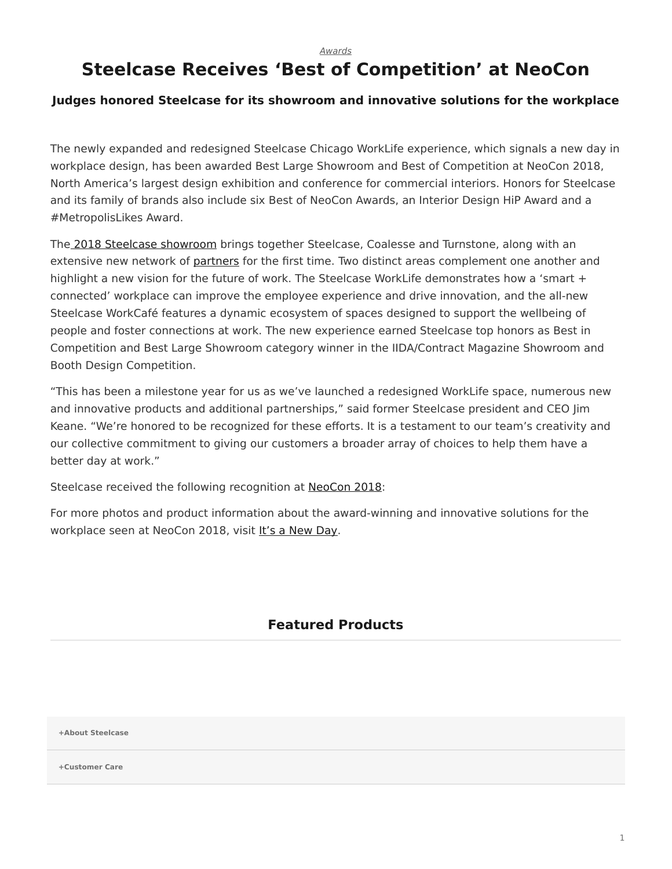*[Awards](https://www.steelcase.com/research/topics/awards/)*

## <span id="page-0-0"></span>**Steelcase Receives 'Best of Competition' at NeoCon**

## **Judges honored Steelcase for its showroom and innovative solutions for the workplace**

The newly expanded and redesigned Steelcase Chicago WorkLife experience, which signals a new day in workplace design, has been awarded Best Large Showroom and Best of Competition at NeoCon 2018, North America's largest design exhibition and conference for commercial interiors. Honors for Steelcase and its family of brands also include six Best of NeoCon Awards, an Interior Design HiP Award and a #MetropolisLikes Award.

The [2018 Steelcase showroom](https://www.steelcase.com/research/articles/topics/innovation/new-day-neocon-2018/) brings together Steelcase, Coalesse and Turnstone, along with an extensive new network of [partners](https://www.steelcase.com/our-partners/) for the first time. Two distinct areas complement one another and highlight a new vision for the future of work. The Steelcase WorkLife demonstrates how a 'smart + connected' workplace can improve the employee experience and drive innovation, and the all-new Steelcase WorkCafé features a dynamic ecosystem of spaces designed to support the wellbeing of people and foster connections at work. The new experience earned Steelcase top honors as Best in Competition and Best Large Showroom category winner in the IIDA/Contract Magazine Showroom and Booth Design Competition.

"This has been a milestone year for us as we've launched a redesigned WorkLife space, numerous new and innovative products and additional partnerships," said former Steelcase president and CEO Jim Keane. "We're honored to be recognized for these efforts. It is a testament to our team's creativity and our collective commitment to giving our customers a broader array of choices to help them have a better day at work."

Steelcase received the following recognition at [NeoCon 2018](https://www.steelcase.com/neocon-guide/):

For more photos and product information about the award-winning and innovative solutions for the workplace seen at NeoCon 2018, visit [It's a New Day.](https://www.steelcase.com/new-day/)

## **Featured Products**

**[+About Steelcase](https://www.steelcase.com/discover/steelcase/our-company/)**

**[+Customer Care](#page-0-0)**